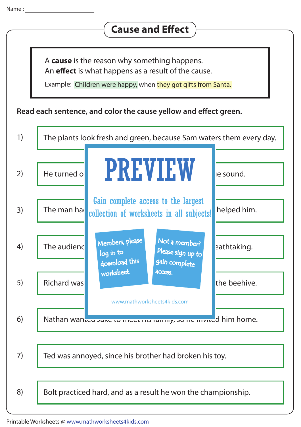